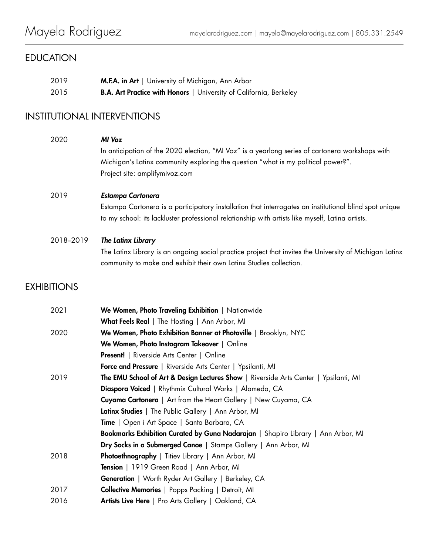# EDUCATION

| 2019 | <b>M.F.A. in Art</b>   University of Michigan, Ann Arbor                  |
|------|---------------------------------------------------------------------------|
| 2015 | <b>B.A. Art Practice with Honors</b>   University of California, Berkeley |

# INSTITUTIONAL INTERVENTIONS

| 2020               | MI Voz<br>In anticipation of the 2020 election, "MI Voz" is a yearlong series of cartonera workshops with<br>Michigan's Latinx community exploring the question "what is my political power?".<br>Project site: amplifymivoz.com                                                                                                                                                                                                                                               |
|--------------------|--------------------------------------------------------------------------------------------------------------------------------------------------------------------------------------------------------------------------------------------------------------------------------------------------------------------------------------------------------------------------------------------------------------------------------------------------------------------------------|
| 2019               | <b>Estampa Cartonera</b><br>Estampa Cartonera is a participatory installation that interrogates an institutional blind spot unique<br>to my school: its lackluster professional relationship with artists like myself, Latina artists.                                                                                                                                                                                                                                         |
| 2018-2019          | The Latinx Library<br>The Latinx Library is an ongoing social practice project that invites the University of Michigan Latinx<br>community to make and exhibit their own Latinx Studies collection.                                                                                                                                                                                                                                                                            |
| <b>EXHIBITIONS</b> |                                                                                                                                                                                                                                                                                                                                                                                                                                                                                |
| 2021               | We Women, Photo Traveling Exhibition   Nationwide<br>What Feels Real   The Hosting   Ann Arbor, MI                                                                                                                                                                                                                                                                                                                                                                             |
| 2020               | We Women, Photo Exhibition Banner at Photoville   Brooklyn, NYC<br>We Women, Photo Instagram Takeover   Online<br><b>Present!</b>   Riverside Arts Center   Online<br>Force and Pressure   Riverside Arts Center   Ypsilanti, MI                                                                                                                                                                                                                                               |
| 2019               | The EMU School of Art & Design Lectures Show   Riverside Arts Center   Ypsilanti, MI<br>Diaspora Voiced   Rhythmix Cultural Works   Alameda, CA<br>Cuyama Cartonera   Art from the Heart Gallery   New Cuyama, CA<br>Latinx Studies   The Public Gallery   Ann Arbor, MI<br>Time   Open i Art Space   Santa Barbara, CA<br>Bookmarks Exhibition Curated by Guna Nadarajan   Shapiro Library   Ann Arbor, MI<br>Dry Socks in a Submerged Canoe   Stamps Gallery   Ann Arbor, MI |
| 2018               | Photoethnography   Titiev Library   Ann Arbor, MI<br>Tension   1919 Green Road   Ann Arbor, MI<br>Generation   Worth Ryder Art Gallery   Berkeley, CA                                                                                                                                                                                                                                                                                                                          |
| 2017               | <b>Collective Memories</b>   Popps Packing   Detroit, MI                                                                                                                                                                                                                                                                                                                                                                                                                       |
| 2016               | Artists Live Here   Pro Arts Gallery   Oakland, CA                                                                                                                                                                                                                                                                                                                                                                                                                             |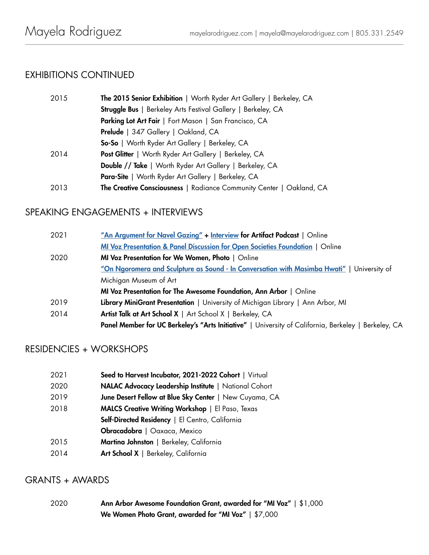# EXHIBITIONS CONTINUED

| 2015 | The 2015 Senior Exhibition   Worth Ryder Art Gallery   Berkeley, CA  |
|------|----------------------------------------------------------------------|
|      | <b>Struggle Bus</b>   Berkeley Arts Festival Gallery   Berkeley, CA  |
|      | Parking Lot Art Fair   Fort Mason   San Francisco, CA                |
|      | Prelude   347 Gallery   Oakland, CA                                  |
|      | <b>So-So</b>   Worth Ryder Art Gallery   Berkeley, CA                |
| 2014 | <b>Post Glitter</b>   Worth Ryder Art Gallery   Berkeley, CA         |
|      | <b>Double // Take</b>   Worth Ryder Art Gallery   Berkeley, CA       |
|      | <b>Para-Site</b>   Worth Ryder Art Gallery   Berkeley, CA            |
| 2013 | The Creative Consciousness   Radiance Community Center   Oakland, CA |

# SPEAKING ENGAGEMENTS + INTERVIEWS

| 2021 | "An Argument for Navel Gazing" + Interview for Artifact Podcast   Online                             |
|------|------------------------------------------------------------------------------------------------------|
|      | MI Voz Presentation & Panel Discussion for Open Societies Foundation   Online                        |
| 2020 | MI Voz Presentation for We Women, Photo   Online                                                     |
|      | "On Ngoromera and Sculpture as Sound - In Conversation with Masimba Hwati"   University of           |
|      | Michigan Museum of Art                                                                               |
|      | MI Voz Presentation for The Awesome Foundation, Ann Arbor   Online                                   |
| 2019 | Library MiniGrant Presentation   University of Michigan Library   Ann Arbor, MI                      |
| 2014 | Artist Talk at Art School X   Art School X   Berkeley, CA                                            |
|      | Panel Member for UC Berkeley's "Arts Initiative"   University of California, Berkeley   Berkeley, CA |

# RESIDENCIES + WORKSHOPS

| 2021 | Seed to Harvest Incubator, 2021-2022 Cohort   Virtual   |
|------|---------------------------------------------------------|
| 2020 | NALAC Advocacy Leadership Institute   National Cohort   |
| 2019 | June Desert Fellow at Blue Sky Center   New Cuyama, CA  |
| 2018 | <b>MALCS Creative Writing Workshop</b>   El Paso, Texas |
|      | Self-Directed Residency   El Centro, California         |
|      | <b>Obracadobra</b>   Oaxaca, Mexico                     |
| 2015 | Martina Johnston   Berkeley, California                 |
| 2014 | Art School X   Berkeley, California                     |

#### GRANTS + AWARDS

2020 Ann Arbor Awesome Foundation Grant, awarded for "MI Voz" | \$1,000 We Women Photo Grant, awarded for "MI Voz" | \$7,000